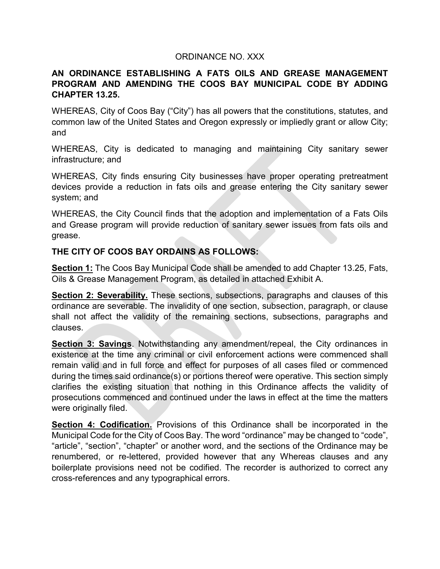# ORDINANCE NO. XXX

# **AN ORDINANCE ESTABLISHING A FATS OILS AND GREASE MANAGEMENT PROGRAM AND AMENDING THE COOS BAY MUNICIPAL CODE BY ADDING CHAPTER 13.25.**

WHEREAS, City of Coos Bay ("City") has all powers that the constitutions, statutes, and common law of the United States and Oregon expressly or impliedly grant or allow City; and

WHEREAS, City is dedicated to managing and maintaining City sanitary sewer infrastructure; and

WHEREAS, City finds ensuring City businesses have proper operating pretreatment devices provide a reduction in fats oils and grease entering the City sanitary sewer system; and

WHEREAS, the City Council finds that the adoption and implementation of a Fats Oils and Grease program will provide reduction of sanitary sewer issues from fats oils and grease.

# **THE CITY OF COOS BAY ORDAINS AS FOLLOWS:**

**Section 1:** The Coos Bay Municipal Code shall be amended to add Chapter 13.25, Fats, Oils & Grease Management Program, as detailed in attached Exhibit A.

**Section 2: Severability.** These sections, subsections, paragraphs and clauses of this ordinance are severable. The invalidity of one section, subsection, paragraph, or clause shall not affect the validity of the remaining sections, subsections, paragraphs and clauses.

**Section 3: Savings**. Notwithstanding any amendment/repeal, the City ordinances in existence at the time any criminal or civil enforcement actions were commenced shall remain valid and in full force and effect for purposes of all cases filed or commenced during the times said ordinance(s) or portions thereof were operative. This section simply clarifies the existing situation that nothing in this Ordinance affects the validity of prosecutions commenced and continued under the laws in effect at the time the matters were originally filed.

**Section 4: Codification.** Provisions of this Ordinance shall be incorporated in the Municipal Code for the City of Coos Bay. The word "ordinance" may be changed to "code", "article", "section", "chapter" or another word, and the sections of the Ordinance may be renumbered, or re-lettered, provided however that any Whereas clauses and any boilerplate provisions need not be codified. The recorder is authorized to correct any cross-references and any typographical errors.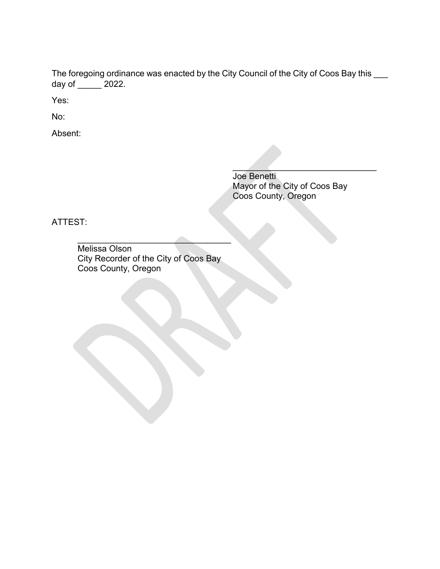The foregoing ordinance was enacted by the City Council of the City of Coos Bay this  $\rule{1em}{0.15mm}$ day of \_\_\_\_\_ 2022.

Yes:

No:

Absent:

 $\mathcal{L}=\mathcal{L}=\mathcal{L}=\mathcal{L}=\mathcal{L}=\mathcal{L}=\mathcal{L}=\mathcal{L}=\mathcal{L}=\mathcal{L}=\mathcal{L}=\mathcal{L}=\mathcal{L}=\mathcal{L}=\mathcal{L}=\mathcal{L}=\mathcal{L}=\mathcal{L}=\mathcal{L}=\mathcal{L}=\mathcal{L}=\mathcal{L}=\mathcal{L}=\mathcal{L}=\mathcal{L}=\mathcal{L}=\mathcal{L}=\mathcal{L}=\mathcal{L}=\mathcal{L}=\mathcal{L}=\mathcal{L}=\mathcal{L}=\mathcal{L}=\mathcal{L}=\mathcal{L}=\mathcal{$ Joe Benetti Mayor of the City of Coos Bay Coos County, Oregon

ATTEST:

Melissa Olson City Recorder of the City of Coos Bay Coos County, Oregon

 $\overline{\phantom{a}}$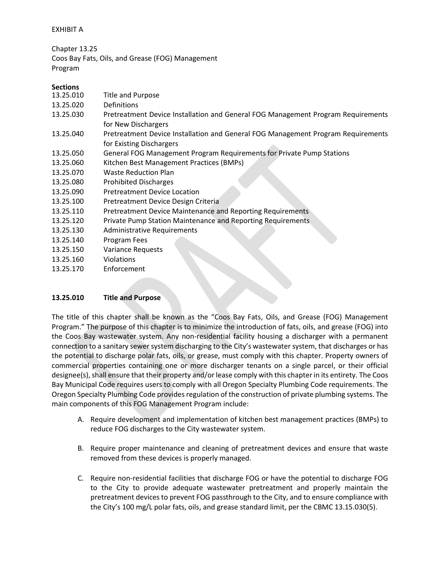#### EXHIBIT A

Chapter 13.25 Coos Bay Fats, Oils, and Grease (FOG) Management Program

# **Sections**

| JELUUIIS  |                                                                                                         |
|-----------|---------------------------------------------------------------------------------------------------------|
| 13.25.010 | Title and Purpose                                                                                       |
| 13.25.020 | Definitions                                                                                             |
| 13.25.030 | Pretreatment Device Installation and General FOG Management Program Requirements<br>for New Dischargers |
| 13.25.040 | Pretreatment Device Installation and General FOG Management Program Requirements                        |
|           | for Existing Dischargers                                                                                |
| 13.25.050 | General FOG Management Program Requirements for Private Pump Stations                                   |
| 13.25.060 | Kitchen Best Management Practices (BMPs)                                                                |
| 13.25.070 | <b>Waste Reduction Plan</b>                                                                             |
| 13.25.080 | <b>Prohibited Discharges</b>                                                                            |
| 13.25.090 | <b>Pretreatment Device Location</b>                                                                     |
| 13.25.100 | Pretreatment Device Design Criteria                                                                     |
| 13.25.110 | Pretreatment Device Maintenance and Reporting Requirements                                              |
| 13.25.120 | Private Pump Station Maintenance and Reporting Requirements                                             |
| 13.25.130 | <b>Administrative Requirements</b>                                                                      |
| 13.25.140 | Program Fees                                                                                            |
| 13.25.150 | Variance Requests                                                                                       |
| 13.25.160 | <b>Violations</b>                                                                                       |
| 13.25.170 | Enforcement                                                                                             |
|           |                                                                                                         |
|           |                                                                                                         |

# **13.25.010 Title and Purpose**

The title of this chapter shall be known as the "Coos Bay Fats, Oils, and Grease (FOG) Management Program." The purpose of this chapter is to minimize the introduction of fats, oils, and grease (FOG) into the Coos Bay wastewater system. Any non-residential facility housing a discharger with a permanent connection to a sanitary sewer system discharging to the City's wastewater system, that discharges or has the potential to discharge polar fats, oils, or grease, must comply with this chapter. Property owners of commercial properties containing one or more discharger tenants on a single parcel, or their official designee(s), shall ensure that their property and/or lease comply with this chapter in its entirety. The Coos Bay Municipal Code requires users to comply with all Oregon Specialty Plumbing Code requirements. The Oregon Specialty Plumbing Code provides regulation of the construction of private plumbing systems. The main components of this FOG Management Program include:

- A. Require development and implementation of kitchen best management practices (BMPs) to reduce FOG discharges to the City wastewater system.
- B. Require proper maintenance and cleaning of pretreatment devices and ensure that waste removed from these devices is properly managed.
- C. Require non-residential facilities that discharge FOG or have the potential to discharge FOG to the City to provide adequate wastewater pretreatment and properly maintain the pretreatment devices to prevent FOG passthrough to the City, and to ensure compliance with the City's 100 mg/L polar fats, oils, and grease standard limit, per the CBMC 13.15.030(5).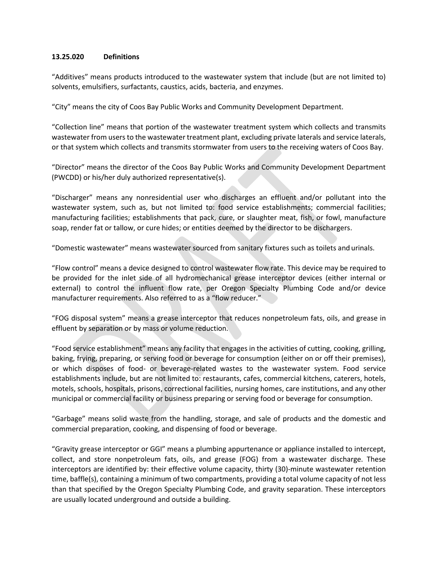#### **13.25.020 Definitions**

"Additives" means products introduced to the wastewater system that include (but are not limited to) solvents, emulsifiers, surfactants, caustics, acids, bacteria, and enzymes.

"City" means the city of Coos Bay Public Works and Community Development Department.

"Collection line" means that portion of the wastewater treatment system which collects and transmits wastewater from users to the wastewater treatment plant, excluding private laterals and service laterals, or that system which collects and transmits stormwater from users to the receiving waters of Coos Bay.

"Director" means the director of the Coos Bay Public Works and Community Development Department (PWCDD) or his/her duly authorized representative(s).

"Discharger" means any nonresidential user who discharges an effluent and/or pollutant into the wastewater system, such as, but not limited to: food service establishments; commercial facilities; manufacturing facilities; establishments that pack, cure, or slaughter meat, fish, or fowl, manufacture soap, render fat or tallow, or cure hides; or entities deemed by the director to be dischargers.

"Domestic wastewater" means wastewater sourced from sanitary fixtures such as toilets and urinals.

"Flow control" means a device designed to control wastewater flow rate. This device may be required to be provided for the inlet side of all hydromechanical grease interceptor devices (either internal or external) to control the influent flow rate, per Oregon Specialty Plumbing Code and/or device manufacturer requirements. Also referred to as a "flow reducer."

"FOG disposal system" means a grease interceptor that reduces nonpetroleum fats, oils, and grease in effluent by separation or by mass or volume reduction.

"Food service establishment" means any facility that engages in the activities of cutting, cooking, grilling, baking, frying, preparing, or serving food or beverage for consumption (either on or off their premises), or which disposes of food- or beverage-related wastes to the wastewater system. Food service establishments include, but are not limited to: restaurants, cafes, commercial kitchens, caterers, hotels, motels, schools, hospitals, prisons, correctional facilities, nursing homes, care institutions, and any other municipal or commercial facility or business preparing or serving food or beverage for consumption.

"Garbage" means solid waste from the handling, storage, and sale of products and the domestic and commercial preparation, cooking, and dispensing of food or beverage.

"Gravity grease interceptor or GGI" means a plumbing appurtenance or appliance installed to intercept, collect, and store nonpetroleum fats, oils, and grease (FOG) from a wastewater discharge. These interceptors are identified by: their effective volume capacity, thirty (30)-minute wastewater retention time, baffle(s), containing a minimum of two compartments, providing a total volume capacity of not less than that specified by the Oregon Specialty Plumbing Code, and gravity separation. These interceptors are usually located underground and outside a building.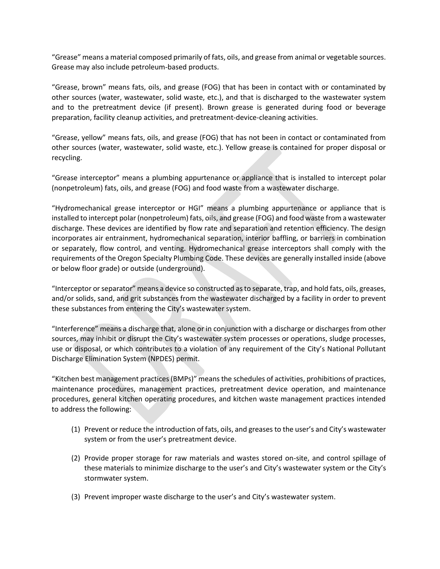"Grease" means a material composed primarily of fats, oils, and grease from animal or vegetable sources. Grease may also include petroleum-based products.

"Grease, brown" means fats, oils, and grease (FOG) that has been in contact with or contaminated by other sources (water, wastewater, solid waste, etc.), and that is discharged to the wastewater system and to the pretreatment device (if present). Brown grease is generated during food or beverage preparation, facility cleanup activities, and pretreatment-device-cleaning activities.

"Grease, yellow" means fats, oils, and grease (FOG) that has not been in contact or contaminated from other sources (water, wastewater, solid waste, etc.). Yellow grease is contained for proper disposal or recycling.

"Grease interceptor" means a plumbing appurtenance or appliance that is installed to intercept polar (nonpetroleum) fats, oils, and grease (FOG) and food waste from a wastewater discharge.

"Hydromechanical grease interceptor or HGI" means a plumbing appurtenance or appliance that is installed to intercept polar (nonpetroleum) fats, oils, and grease (FOG) and food waste from a wastewater discharge. These devices are identified by flow rate and separation and retention efficiency. The design incorporates air entrainment, hydromechanical separation, interior baffling, or barriers in combination or separately, flow control, and venting. Hydromechanical grease interceptors shall comply with the requirements of the Oregon Specialty Plumbing Code. These devices are generally installed inside (above or below floor grade) or outside (underground).

"Interceptor or separator" means a device so constructed as to separate, trap, and hold fats, oils, greases, and/or solids, sand, and grit substances from the wastewater discharged by a facility in order to prevent these substances from entering the City's wastewater system.

"Interference" means a discharge that, alone or in conjunction with a discharge or discharges from other sources, may inhibit or disrupt the City's wastewater system processes or operations, sludge processes, use or disposal, or which contributes to a violation of any requirement of the City's National Pollutant Discharge Elimination System (NPDES) permit.

"Kitchen best management practices (BMPs)" means the schedules of activities, prohibitions of practices, maintenance procedures, management practices, pretreatment device operation, and maintenance procedures, general kitchen operating procedures, and kitchen waste management practices intended to address the following:

- (1) Prevent or reduce the introduction of fats, oils, and greases to the user's and City's wastewater system or from the user's pretreatment device.
- (2) Provide proper storage for raw materials and wastes stored on-site, and control spillage of these materials to minimize discharge to the user's and City's wastewater system or the City's stormwater system.
- (3) Prevent improper waste discharge to the user's and City's wastewater system.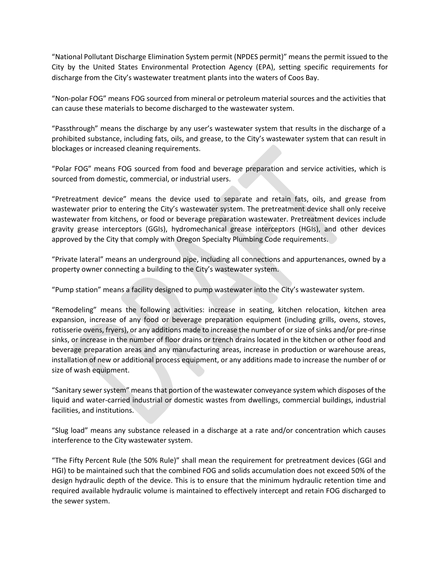"National Pollutant Discharge Elimination System permit (NPDES permit)" means the permit issued to the City by the United States Environmental Protection Agency (EPA), setting specific requirements for discharge from the City's wastewater treatment plants into the waters of Coos Bay.

"Non-polar FOG" means FOG sourced from mineral or petroleum material sources and the activities that can cause these materials to become discharged to the wastewater system.

"Passthrough" means the discharge by any user's wastewater system that results in the discharge of a prohibited substance, including fats, oils, and grease, to the City's wastewater system that can result in blockages or increased cleaning requirements.

"Polar FOG" means FOG sourced from food and beverage preparation and service activities, which is sourced from domestic, commercial, or industrial users.

"Pretreatment device" means the device used to separate and retain fats, oils, and grease from wastewater prior to entering the City's wastewater system. The pretreatment device shall only receive wastewater from kitchens, or food or beverage preparation wastewater. Pretreatment devices include gravity grease interceptors (GGIs), hydromechanical grease interceptors (HGIs), and other devices approved by the City that comply with Oregon Specialty Plumbing Code requirements.

"Private lateral" means an underground pipe, including all connections and appurtenances, owned by a property owner connecting a building to the City's wastewater system.

"Pump station" means a facility designed to pump wastewater into the City's wastewater system.

"Remodeling" means the following activities: increase in seating, kitchen relocation, kitchen area expansion, increase of any food or beverage preparation equipment (including grills, ovens, stoves, rotisserie ovens, fryers), or any additions made to increase the number of or size of sinks and/or pre-rinse sinks, or increase in the number of floor drains or trench drains located in the kitchen or other food and beverage preparation areas and any manufacturing areas, increase in production or warehouse areas, installation of new or additional process equipment, or any additions made to increase the number of or size of wash equipment.

"Sanitary sewer system" means that portion of the wastewater conveyance system which disposes of the liquid and water-carried industrial or domestic wastes from dwellings, commercial buildings, industrial facilities, and institutions.

"Slug load" means any substance released in a discharge at a rate and/or concentration which causes interference to the City wastewater system.

"The Fifty Percent Rule (the 50% Rule)" shall mean the requirement for pretreatment devices (GGI and HGI) to be maintained such that the combined FOG and solids accumulation does not exceed 50% of the design hydraulic depth of the device. This is to ensure that the minimum hydraulic retention time and required available hydraulic volume is maintained to effectively intercept and retain FOG discharged to the sewer system.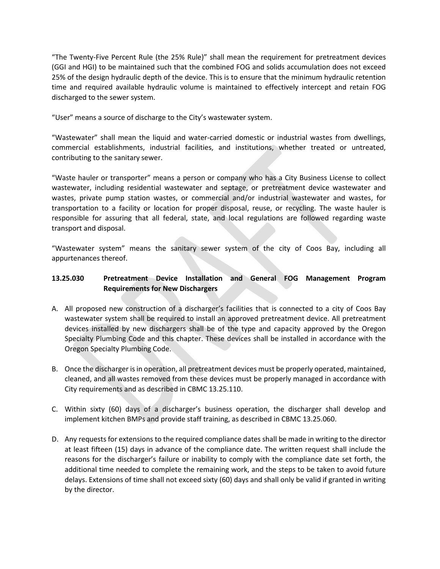"The Twenty-Five Percent Rule (the 25% Rule)" shall mean the requirement for pretreatment devices (GGI and HGI) to be maintained such that the combined FOG and solids accumulation does not exceed 25% of the design hydraulic depth of the device. This is to ensure that the minimum hydraulic retention time and required available hydraulic volume is maintained to effectively intercept and retain FOG discharged to the sewer system.

"User" means a source of discharge to the City's wastewater system.

"Wastewater" shall mean the liquid and water-carried domestic or industrial wastes from dwellings, commercial establishments, industrial facilities, and institutions, whether treated or untreated, contributing to the sanitary sewer.

"Waste hauler or transporter" means a person or company who has a City Business License to collect wastewater, including residential wastewater and septage, or pretreatment device wastewater and wastes, private pump station wastes, or commercial and/or industrial wastewater and wastes, for transportation to a facility or location for proper disposal, reuse, or recycling. The waste hauler is responsible for assuring that all federal, state, and local regulations are followed regarding waste transport and disposal.

"Wastewater system" means the sanitary sewer system of the city of Coos Bay, including all appurtenances thereof.

# **13.25.030 Pretreatment Device Installation and General FOG Management Program Requirements for New Dischargers**

- A. All proposed new construction of a discharger's facilities that is connected to a city of Coos Bay wastewater system shall be required to install an approved pretreatment device. All pretreatment devices installed by new dischargers shall be of the type and capacity approved by the Oregon Specialty Plumbing Code and this chapter. These devices shall be installed in accordance with the Oregon Specialty Plumbing Code.
- B. Once the discharger is in operation, all pretreatment devices must be properly operated, maintained, cleaned, and all wastes removed from these devices must be properly managed in accordance with City requirements and as described in CBMC 13.25.110.
- C. Within sixty (60) days of a discharger's business operation, the discharger shall develop and implement kitchen BMPs and provide staff training, as described in CBMC 13.25.060.
- D. Any requests for extensions to the required compliance dates shall be made in writing to the director at least fifteen (15) days in advance of the compliance date. The written request shall include the reasons for the discharger's failure or inability to comply with the compliance date set forth, the additional time needed to complete the remaining work, and the steps to be taken to avoid future delays. Extensions of time shall not exceed sixty (60) days and shall only be valid if granted in writing by the director.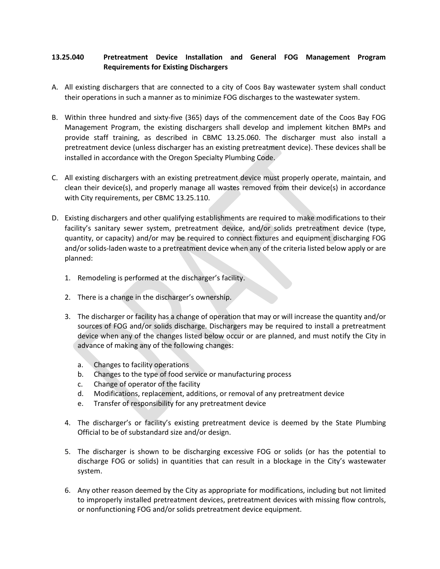# **13.25.040 Pretreatment Device Installation and General FOG Management Program Requirements for Existing Dischargers**

- A. All existing dischargers that are connected to a city of Coos Bay wastewater system shall conduct their operations in such a manner as to minimize FOG discharges to the wastewater system.
- B. Within three hundred and sixty-five (365) days of the commencement date of the Coos Bay FOG Management Program, the existing dischargers shall develop and implement kitchen BMPs and provide staff training, as described in CBMC 13.25.060. The discharger must also install a pretreatment device (unless discharger has an existing pretreatment device). These devices shall be installed in accordance with the Oregon Specialty Plumbing Code.
- C. All existing dischargers with an existing pretreatment device must properly operate, maintain, and clean their device(s), and properly manage all wastes removed from their device(s) in accordance with City requirements, per CBMC 13.25.110.
- D. Existing dischargers and other qualifying establishments are required to make modifications to their facility's sanitary sewer system, pretreatment device, and/or solids pretreatment device (type, quantity, or capacity) and/or may be required to connect fixtures and equipment discharging FOG and/or solids-laden waste to a pretreatment device when any of the criteria listed below apply or are planned:
	- 1. Remodeling is performed at the discharger's facility.
	- 2. There is a change in the discharger's ownership.
	- 3. The discharger or facility has a change of operation that may or will increase the quantity and/or sources of FOG and/or solids discharge. Dischargers may be required to install a pretreatment device when any of the changes listed below occur or are planned, and must notify the City in advance of making any of the following changes:
		- a. Changes to facility operations
		- b. Changes to the type of food service or manufacturing process
		- c. Change of operator of the facility
		- d. Modifications, replacement, additions, or removal of any pretreatment device
		- e. Transfer of responsibility for any pretreatment device
	- 4. The discharger's or facility's existing pretreatment device is deemed by the State Plumbing Official to be of substandard size and/or design.
	- 5. The discharger is shown to be discharging excessive FOG or solids (or has the potential to discharge FOG or solids) in quantities that can result in a blockage in the City's wastewater system.
	- 6. Any other reason deemed by the City as appropriate for modifications, including but not limited to improperly installed pretreatment devices, pretreatment devices with missing flow controls, or nonfunctioning FOG and/or solids pretreatment device equipment.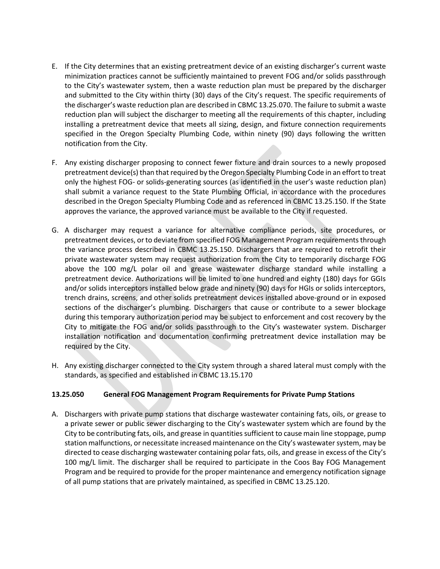- E. If the City determines that an existing pretreatment device of an existing discharger's current waste minimization practices cannot be sufficiently maintained to prevent FOG and/or solids passthrough to the City's wastewater system, then a waste reduction plan must be prepared by the discharger and submitted to the City within thirty (30) days of the City's request. The specific requirements of the discharger's waste reduction plan are described in CBMC 13.25.070. The failure to submit a waste reduction plan will subject the discharger to meeting all the requirements of this chapter, including installing a pretreatment device that meets all sizing, design, and fixture connection requirements specified in the Oregon Specialty Plumbing Code, within ninety (90) days following the written notification from the City.
- F. Any existing discharger proposing to connect fewer fixture and drain sources to a newly proposed pretreatment device(s) than that required by the Oregon Specialty Plumbing Code in an effort to treat only the highest FOG- or solids-generating sources (as identified in the user's waste reduction plan) shall submit a variance request to the State Plumbing Official, in accordance with the procedures described in the Oregon Specialty Plumbing Code and as referenced in CBMC 13.25.150. If the State approves the variance, the approved variance must be available to the City if requested.
- G. A discharger may request a variance for alternative compliance periods, site procedures, or pretreatment devices, or to deviate from specified FOG Management Program requirements through the variance process described in CBMC 13.25.150. Dischargers that are required to retrofit their private wastewater system may request authorization from the City to temporarily discharge FOG above the 100 mg/L polar oil and grease wastewater discharge standard while installing a pretreatment device. Authorizations will be limited to one hundred and eighty (180) days for GGIs and/or solids interceptors installed below grade and ninety (90) days for HGIs or solids interceptors, trench drains, screens, and other solids pretreatment devices installed above-ground or in exposed sections of the discharger's plumbing. Dischargers that cause or contribute to a sewer blockage during this temporary authorization period may be subject to enforcement and cost recovery by the City to mitigate the FOG and/or solids passthrough to the City's wastewater system. Discharger installation notification and documentation confirming pretreatment device installation may be required by the City.
- H. Any existing discharger connected to the City system through a shared lateral must comply with the standards, as specified and established in CBMC 13.15.170

# **13.25.050 General FOG Management Program Requirements for Private Pump Stations**

A. Dischargers with private pump stations that discharge wastewater containing fats, oils, or grease to a private sewer or public sewer discharging to the City's wastewater system which are found by the City to be contributing fats, oils, and grease in quantities sufficient to cause main line stoppage, pump station malfunctions, or necessitate increased maintenance on the City's wastewater system, may be directed to cease discharging wastewater containing polar fats, oils, and grease in excess of the City's 100 mg/L limit. The discharger shall be required to participate in the Coos Bay FOG Management Program and be required to provide for the proper maintenance and emergency notification signage of all pump stations that are privately maintained, as specified in CBMC 13.25.120.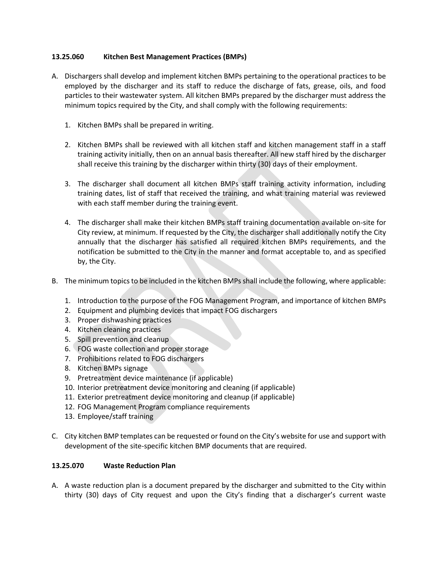# **13.25.060 Kitchen Best Management Practices (BMPs)**

- A. Dischargers shall develop and implement kitchen BMPs pertaining to the operational practices to be employed by the discharger and its staff to reduce the discharge of fats, grease, oils, and food particles to their wastewater system. All kitchen BMPs prepared by the discharger must address the minimum topics required by the City, and shall comply with the following requirements:
	- 1. Kitchen BMPs shall be prepared in writing.
	- 2. Kitchen BMPs shall be reviewed with all kitchen staff and kitchen management staff in a staff training activity initially, then on an annual basis thereafter. All new staff hired by the discharger shall receive this training by the discharger within thirty (30) days of their employment.
	- 3. The discharger shall document all kitchen BMPs staff training activity information, including training dates, list of staff that received the training, and what training material was reviewed with each staff member during the training event.
	- 4. The discharger shall make their kitchen BMPs staff training documentation available on-site for City review, at minimum. If requested by the City, the discharger shall additionally notify the City annually that the discharger has satisfied all required kitchen BMPs requirements, and the notification be submitted to the City in the manner and format acceptable to, and as specified by, the City.
- B. The minimum topics to be included in the kitchen BMPs shall include the following, where applicable:
	- 1. Introduction to the purpose of the FOG Management Program, and importance of kitchen BMPs
	- 2. Equipment and plumbing devices that impact FOG dischargers
	- 3. Proper dishwashing practices
	- 4. Kitchen cleaning practices
	- 5. Spill prevention and cleanup
	- 6. FOG waste collection and proper storage
	- 7. Prohibitions related to FOG dischargers
	- 8. Kitchen BMPs signage
	- 9. Pretreatment device maintenance (if applicable)
	- 10. Interior pretreatment device monitoring and cleaning (if applicable)
	- 11. Exterior pretreatment device monitoring and cleanup (if applicable)
	- 12. FOG Management Program compliance requirements
	- 13. Employee/staff training
- C. City kitchen BMP templates can be requested or found on the City's website for use and support with development of the site-specific kitchen BMP documents that are required.

# **13.25.070 Waste Reduction Plan**

A. A waste reduction plan is a document prepared by the discharger and submitted to the City within thirty (30) days of City request and upon the City's finding that a discharger's current waste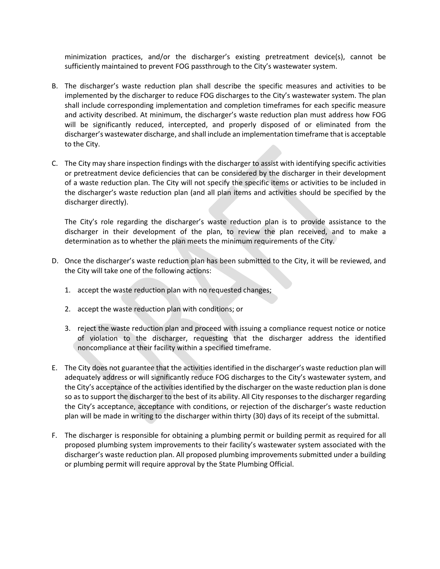minimization practices, and/or the discharger's existing pretreatment device(s), cannot be sufficiently maintained to prevent FOG passthrough to the City's wastewater system.

- B. The discharger's waste reduction plan shall describe the specific measures and activities to be implemented by the discharger to reduce FOG discharges to the City's wastewater system. The plan shall include corresponding implementation and completion timeframes for each specific measure and activity described. At minimum, the discharger's waste reduction plan must address how FOG will be significantly reduced, intercepted, and properly disposed of or eliminated from the discharger's wastewater discharge, and shall include an implementation timeframe that is acceptable to the City.
- C. The City may share inspection findings with the discharger to assist with identifying specific activities or pretreatment device deficiencies that can be considered by the discharger in their development of a waste reduction plan. The City will not specify the specific items or activities to be included in the discharger's waste reduction plan (and all plan items and activities should be specified by the discharger directly).

The City's role regarding the discharger's waste reduction plan is to provide assistance to the discharger in their development of the plan, to review the plan received, and to make a determination as to whether the plan meets the minimum requirements of the City.

- D. Once the discharger's waste reduction plan has been submitted to the City, it will be reviewed, and the City will take one of the following actions:
	- 1. accept the waste reduction plan with no requested changes;
	- 2. accept the waste reduction plan with conditions; or
	- 3. reject the waste reduction plan and proceed with issuing a compliance request notice or notice of violation to the discharger, requesting that the discharger address the identified noncompliance at their facility within a specified timeframe.
- E. The City does not guarantee that the activities identified in the discharger's waste reduction plan will adequately address or will significantly reduce FOG discharges to the City's wastewater system, and the City's acceptance of the activities identified by the discharger on the waste reduction plan is done so as to support the discharger to the best of its ability. All City responses to the discharger regarding the City's acceptance, acceptance with conditions, or rejection of the discharger's waste reduction plan will be made in writing to the discharger within thirty (30) days of its receipt of the submittal.
- F. The discharger is responsible for obtaining a plumbing permit or building permit as required for all proposed plumbing system improvements to their facility's wastewater system associated with the discharger's waste reduction plan. All proposed plumbing improvements submitted under a building or plumbing permit will require approval by the State Plumbing Official.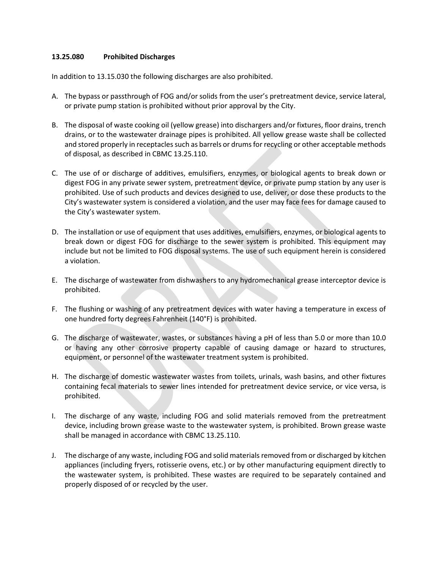#### **13.25.080 Prohibited Discharges**

In addition to 13.15.030 the following discharges are also prohibited.

- A. The bypass or passthrough of FOG and/or solids from the user's pretreatment device, service lateral, or private pump station is prohibited without prior approval by the City.
- B. The disposal of waste cooking oil (yellow grease) into dischargers and/or fixtures, floor drains, trench drains, or to the wastewater drainage pipes is prohibited. All yellow grease waste shall be collected and stored properly in receptacles such as barrels or drums for recycling or other acceptable methods of disposal, as described in CBMC 13.25.110.
- C. The use of or discharge of additives, emulsifiers, enzymes, or biological agents to break down or digest FOG in any private sewer system, pretreatment device, or private pump station by any user is prohibited. Use of such products and devices designed to use, deliver, or dose these products to the City's wastewater system is considered a violation, and the user may face fees for damage caused to the City's wastewater system.
- D. The installation or use of equipment that uses additives, emulsifiers, enzymes, or biological agents to break down or digest FOG for discharge to the sewer system is prohibited. This equipment may include but not be limited to FOG disposal systems. The use of such equipment herein is considered a violation.
- E. The discharge of wastewater from dishwashers to any hydromechanical grease interceptor device is prohibited.
- F. The flushing or washing of any pretreatment devices with water having a temperature in excess of one hundred forty degrees Fahrenheit (140°F) is prohibited.
- G. The discharge of wastewater, wastes, or substances having a pH of less than 5.0 or more than 10.0 or having any other corrosive property capable of causing damage or hazard to structures, equipment, or personnel of the wastewater treatment system is prohibited.
- H. The discharge of domestic wastewater wastes from toilets, urinals, wash basins, and other fixtures containing fecal materials to sewer lines intended for pretreatment device service, or vice versa, is prohibited.
- I. The discharge of any waste, including FOG and solid materials removed from the pretreatment device, including brown grease waste to the wastewater system, is prohibited. Brown grease waste shall be managed in accordance with CBMC 13.25.110.
- J. The discharge of any waste, including FOG and solid materials removed from or discharged by kitchen appliances (including fryers, rotisserie ovens, etc.) or by other manufacturing equipment directly to the wastewater system, is prohibited. These wastes are required to be separately contained and properly disposed of or recycled by the user.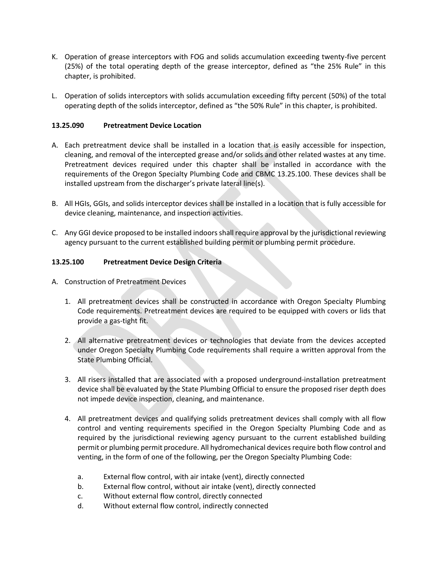- K. Operation of grease interceptors with FOG and solids accumulation exceeding twenty-five percent (25%) of the total operating depth of the grease interceptor, defined as "the 25% Rule" in this chapter, is prohibited.
- L. Operation of solids interceptors with solids accumulation exceeding fifty percent (50%) of the total operating depth of the solids interceptor, defined as "the 50% Rule" in this chapter, is prohibited.

# **13.25.090 Pretreatment Device Location**

- A. Each pretreatment device shall be installed in a location that is easily accessible for inspection, cleaning, and removal of the intercepted grease and/or solids and other related wastes at any time. Pretreatment devices required under this chapter shall be installed in accordance with the requirements of the Oregon Specialty Plumbing Code and CBMC 13.25.100. These devices shall be installed upstream from the discharger's private lateral line(s).
- B. All HGIs, GGIs, and solids interceptor devices shall be installed in a location that is fully accessible for device cleaning, maintenance, and inspection activities.
- C. Any GGI device proposed to be installed indoors shall require approval by the jurisdictional reviewing agency pursuant to the current established building permit or plumbing permit procedure.

# **13.25.100 Pretreatment Device Design Criteria**

- A. Construction of Pretreatment Devices
	- 1. All pretreatment devices shall be constructed in accordance with Oregon Specialty Plumbing Code requirements. Pretreatment devices are required to be equipped with covers or lids that provide a gas-tight fit.
	- 2. All alternative pretreatment devices or technologies that deviate from the devices accepted under Oregon Specialty Plumbing Code requirements shall require a written approval from the State Plumbing Official.
	- 3. All risers installed that are associated with a proposed underground-installation pretreatment device shall be evaluated by the State Plumbing Official to ensure the proposed riser depth does not impede device inspection, cleaning, and maintenance.
	- 4. All pretreatment devices and qualifying solids pretreatment devices shall comply with all flow control and venting requirements specified in the Oregon Specialty Plumbing Code and as required by the jurisdictional reviewing agency pursuant to the current established building permit or plumbing permit procedure. All hydromechanical devices require both flow control and venting, in the form of one of the following, per the Oregon Specialty Plumbing Code:
		- a. External flow control, with air intake (vent), directly connected
		- b. External flow control, without air intake (vent), directly connected
		- c. Without external flow control, directly connected
		- d. Without external flow control, indirectly connected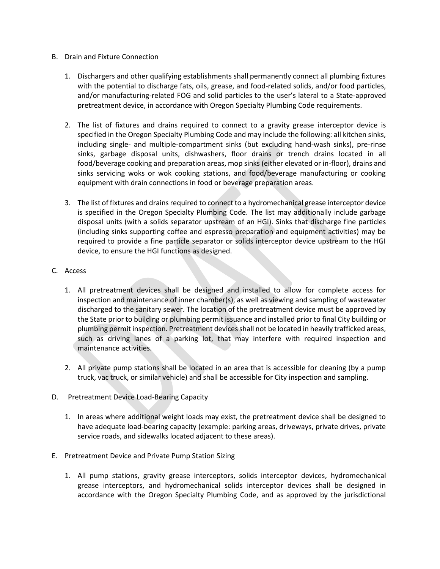- B. Drain and Fixture Connection
	- 1. Dischargers and other qualifying establishments shall permanently connect all plumbing fixtures with the potential to discharge fats, oils, grease, and food-related solids, and/or food particles, and/or manufacturing-related FOG and solid particles to the user's lateral to a State-approved pretreatment device, in accordance with Oregon Specialty Plumbing Code requirements.
	- 2. The list of fixtures and drains required to connect to a gravity grease interceptor device is specified in the Oregon Specialty Plumbing Code and may include the following: all kitchen sinks, including single- and multiple-compartment sinks (but excluding hand-wash sinks), pre-rinse sinks, garbage disposal units, dishwashers, floor drains or trench drains located in all food/beverage cooking and preparation areas, mop sinks (either elevated or in-floor), drains and sinks servicing woks or wok cooking stations, and food/beverage manufacturing or cooking equipment with drain connections in food or beverage preparation areas.
	- 3. The list of fixtures and drains required to connect to a hydromechanical grease interceptor device is specified in the Oregon Specialty Plumbing Code. The list may additionally include garbage disposal units (with a solids separator upstream of an HGI). Sinks that discharge fine particles (including sinks supporting coffee and espresso preparation and equipment activities) may be required to provide a fine particle separator or solids interceptor device upstream to the HGI device, to ensure the HGI functions as designed.
- C. Access
	- 1. All pretreatment devices shall be designed and installed to allow for complete access for inspection and maintenance of inner chamber(s), as well as viewing and sampling of wastewater discharged to the sanitary sewer. The location of the pretreatment device must be approved by the State prior to building or plumbing permit issuance and installed prior to final City building or plumbing permit inspection. Pretreatment devices shall not be located in heavily trafficked areas, such as driving lanes of a parking lot, that may interfere with required inspection and maintenance activities.
	- 2. All private pump stations shall be located in an area that is accessible for cleaning (by a pump truck, vac truck, or similar vehicle) and shall be accessible for City inspection and sampling.
- D. Pretreatment Device Load-Bearing Capacity
	- 1. In areas where additional weight loads may exist, the pretreatment device shall be designed to have adequate load-bearing capacity (example: parking areas, driveways, private drives, private service roads, and sidewalks located adjacent to these areas).
- E. Pretreatment Device and Private Pump Station Sizing
	- 1. All pump stations, gravity grease interceptors, solids interceptor devices, hydromechanical grease interceptors, and hydromechanical solids interceptor devices shall be designed in accordance with the Oregon Specialty Plumbing Code, and as approved by the jurisdictional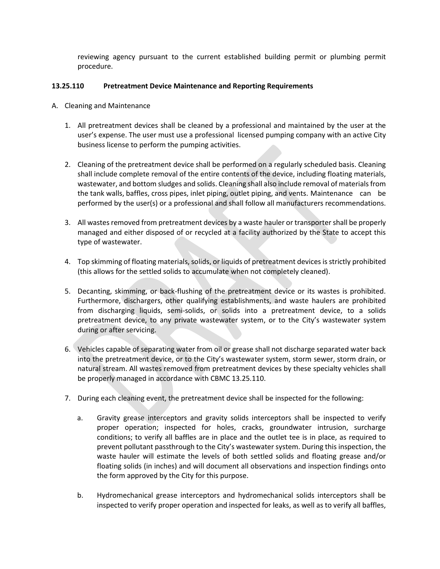reviewing agency pursuant to the current established building permit or plumbing permit procedure.

# **13.25.110 Pretreatment Device Maintenance and Reporting Requirements**

- A. Cleaning and Maintenance
	- 1. All pretreatment devices shall be cleaned by a professional and maintained by the user at the user's expense. The user must use a professional licensed pumping company with an active City business license to perform the pumping activities.
	- 2. Cleaning of the pretreatment device shall be performed on a regularly scheduled basis. Cleaning shall include complete removal of the entire contents of the device, including floating materials, wastewater, and bottom sludges and solids. Cleaning shall also include removal of materials from the tank walls, baffles, cross pipes, inlet piping, outlet piping, and vents. Maintenance can be performed by the user(s) or a professional and shall follow all manufacturers recommendations.
	- 3. All wastes removed from pretreatment devices by a waste hauler or transporter shall be properly managed and either disposed of or recycled at a facility authorized by the State to accept this type of wastewater.
	- 4. Top skimming of floating materials, solids, or liquids of pretreatment devices is strictly prohibited (this allows for the settled solids to accumulate when not completely cleaned).
	- 5. Decanting, skimming, or back-flushing of the pretreatment device or its wastes is prohibited. Furthermore, dischargers, other qualifying establishments, and waste haulers are prohibited from discharging liquids, semi-solids, or solids into a pretreatment device, to a solids pretreatment device, to any private wastewater system, or to the City's wastewater system during or after servicing.
	- 6. Vehicles capable of separating water from oil or grease shall not discharge separated water back into the pretreatment device, or to the City's wastewater system, storm sewer, storm drain, or natural stream. All wastes removed from pretreatment devices by these specialty vehicles shall be properly managed in accordance with CBMC 13.25.110.
	- 7. During each cleaning event, the pretreatment device shall be inspected for the following:
		- a. Gravity grease interceptors and gravity solids interceptors shall be inspected to verify proper operation; inspected for holes, cracks, groundwater intrusion, surcharge conditions; to verify all baffles are in place and the outlet tee is in place, as required to prevent pollutant passthrough to the City's wastewater system. During this inspection, the waste hauler will estimate the levels of both settled solids and floating grease and/or floating solids (in inches) and will document all observations and inspection findings onto the form approved by the City for this purpose.
		- b. Hydromechanical grease interceptors and hydromechanical solids interceptors shall be inspected to verify proper operation and inspected for leaks, as well as to verify all baffles,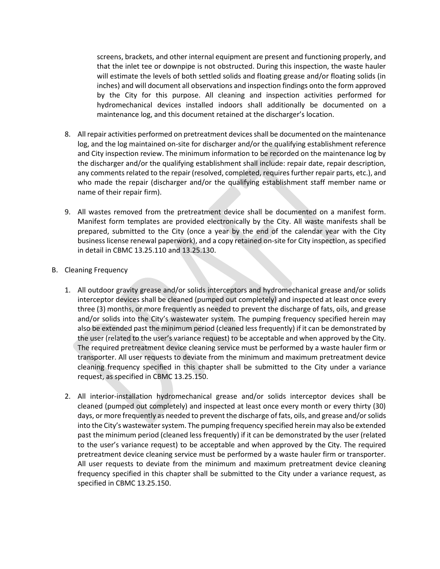screens, brackets, and other internal equipment are present and functioning properly, and that the inlet tee or downpipe is not obstructed. During this inspection, the waste hauler will estimate the levels of both settled solids and floating grease and/or floating solids (in inches) and will document all observations and inspection findings onto the form approved by the City for this purpose. All cleaning and inspection activities performed for hydromechanical devices installed indoors shall additionally be documented on a maintenance log, and this document retained at the discharger's location.

- 8. All repair activities performed on pretreatment devices shall be documented on the maintenance log, and the log maintained on-site for discharger and/or the qualifying establishment reference and City inspection review. The minimum information to be recorded on the maintenance log by the discharger and/or the qualifying establishment shall include: repair date, repair description, any comments related to the repair (resolved, completed, requires further repair parts, etc.), and who made the repair (discharger and/or the qualifying establishment staff member name or name of their repair firm).
- 9. All wastes removed from the pretreatment device shall be documented on a manifest form. Manifest form templates are provided electronically by the City. All waste manifests shall be prepared, submitted to the City (once a year by the end of the calendar year with the City business license renewal paperwork), and a copy retained on-site for City inspection, as specified in detail in CBMC 13.25.110 and 13.25.130.
- B. Cleaning Frequency
	- 1. All outdoor gravity grease and/or solids interceptors and hydromechanical grease and/or solids interceptor devices shall be cleaned (pumped out completely) and inspected at least once every three (3) months, or more frequently as needed to prevent the discharge of fats, oils, and grease and/or solids into the City's wastewater system. The pumping frequency specified herein may also be extended past the minimum period (cleaned less frequently) if it can be demonstrated by the user (related to the user's variance request) to be acceptable and when approved by the City. The required pretreatment device cleaning service must be performed by a waste hauler firm or transporter. All user requests to deviate from the minimum and maximum pretreatment device cleaning frequency specified in this chapter shall be submitted to the City under a variance request, as specified in CBMC 13.25.150.
	- 2. All interior-installation hydromechanical grease and/or solids interceptor devices shall be cleaned (pumped out completely) and inspected at least once every month or every thirty (30) days, or more frequently as needed to prevent the discharge of fats, oils, and grease and/or solids into the City's wastewater system. The pumping frequency specified herein may also be extended past the minimum period (cleaned less frequently) if it can be demonstrated by the user (related to the user's variance request) to be acceptable and when approved by the City. The required pretreatment device cleaning service must be performed by a waste hauler firm or transporter. All user requests to deviate from the minimum and maximum pretreatment device cleaning frequency specified in this chapter shall be submitted to the City under a variance request, as specified in CBMC 13.25.150.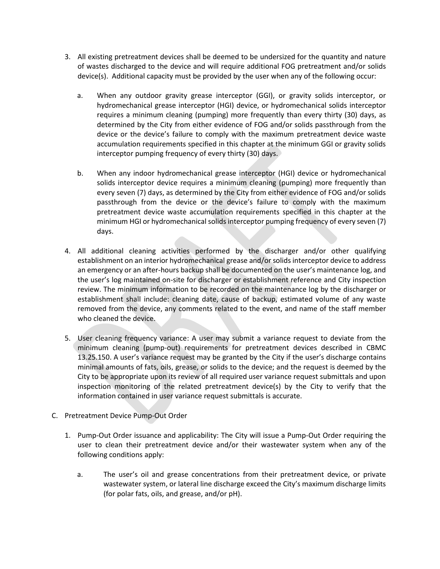- 3. All existing pretreatment devices shall be deemed to be undersized for the quantity and nature of wastes discharged to the device and will require additional FOG pretreatment and/or solids device(s). Additional capacity must be provided by the user when any of the following occur:
	- a. When any outdoor gravity grease interceptor (GGI), or gravity solids interceptor, or hydromechanical grease interceptor (HGI) device, or hydromechanical solids interceptor requires a minimum cleaning (pumping) more frequently than every thirty (30) days, as determined by the City from either evidence of FOG and/or solids passthrough from the device or the device's failure to comply with the maximum pretreatment device waste accumulation requirements specified in this chapter at the minimum GGI or gravity solids interceptor pumping frequency of every thirty (30) days.
	- b. When any indoor hydromechanical grease interceptor (HGI) device or hydromechanical solids interceptor device requires a minimum cleaning (pumping) more frequently than every seven (7) days, as determined by the City from either evidence of FOG and/or solids passthrough from the device or the device's failure to comply with the maximum pretreatment device waste accumulation requirements specified in this chapter at the minimum HGI or hydromechanical solids interceptor pumping frequency of every seven (7) days.
- 4. All additional cleaning activities performed by the discharger and/or other qualifying establishment on an interior hydromechanical grease and/or solids interceptor device to address an emergency or an after-hours backup shall be documented on the user's maintenance log, and the user's log maintained on-site for discharger or establishment reference and City inspection review. The minimum information to be recorded on the maintenance log by the discharger or establishment shall include: cleaning date, cause of backup, estimated volume of any waste removed from the device, any comments related to the event, and name of the staff member who cleaned the device.
- 5. User cleaning frequency variance: A user may submit a variance request to deviate from the minimum cleaning (pump-out) requirements for pretreatment devices described in CBMC 13.25.150. A user's variance request may be granted by the City if the user's discharge contains minimal amounts of fats, oils, grease, or solids to the device; and the request is deemed by the City to be appropriate upon its review of all required user variance request submittals and upon inspection monitoring of the related pretreatment device(s) by the City to verify that the information contained in user variance request submittals is accurate.
- C. Pretreatment Device Pump-Out Order
	- 1. Pump-Out Order issuance and applicability: The City will issue a Pump-Out Order requiring the user to clean their pretreatment device and/or their wastewater system when any of the following conditions apply:
		- a. The user's oil and grease concentrations from their pretreatment device, or private wastewater system, or lateral line discharge exceed the City's maximum discharge limits (for polar fats, oils, and grease, and/or pH).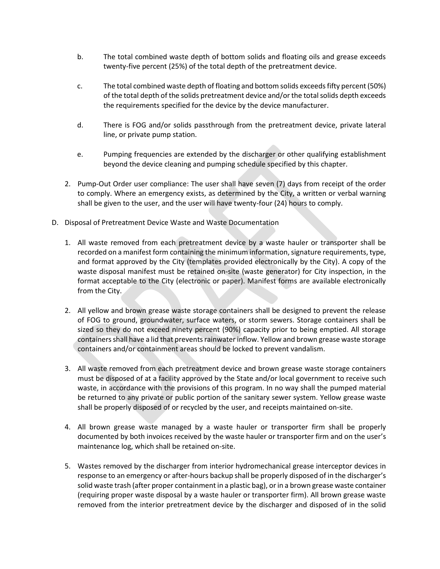- b. The total combined waste depth of bottom solids and floating oils and grease exceeds twenty-five percent (25%) of the total depth of the pretreatment device.
- c. The total combined waste depth of floating and bottom solids exceeds fifty percent (50%) of the total depth of the solids pretreatment device and/or the total solids depth exceeds the requirements specified for the device by the device manufacturer.
- d. There is FOG and/or solids passthrough from the pretreatment device, private lateral line, or private pump station.
- e. Pumping frequencies are extended by the discharger or other qualifying establishment beyond the device cleaning and pumping schedule specified by this chapter.
- 2. Pump-Out Order user compliance: The user shall have seven (7) days from receipt of the order to comply. Where an emergency exists, as determined by the City, a written or verbal warning shall be given to the user, and the user will have twenty-four (24) hours to comply.
- D. Disposal of Pretreatment Device Waste and Waste Documentation
	- 1. All waste removed from each pretreatment device by a waste hauler or transporter shall be recorded on a manifest form containing the minimum information, signature requirements, type, and format approved by the City (templates provided electronically by the City). A copy of the waste disposal manifest must be retained on-site (waste generator) for City inspection, in the format acceptable to the City (electronic or paper). Manifest forms are available electronically from the City.
	- 2. All yellow and brown grease waste storage containers shall be designed to prevent the release of FOG to ground, groundwater, surface waters, or storm sewers. Storage containers shall be sized so they do not exceed ninety percent (90%) capacity prior to being emptied. All storage containers shall have a lid that prevents rainwater inflow. Yellow and brown grease waste storage containers and/or containment areas should be locked to prevent vandalism.
	- 3. All waste removed from each pretreatment device and brown grease waste storage containers must be disposed of at a facility approved by the State and/or local government to receive such waste, in accordance with the provisions of this program. In no way shall the pumped material be returned to any private or public portion of the sanitary sewer system. Yellow grease waste shall be properly disposed of or recycled by the user, and receipts maintained on-site.
	- 4. All brown grease waste managed by a waste hauler or transporter firm shall be properly documented by both invoices received by the waste hauler or transporter firm and on the user's maintenance log, which shall be retained on-site.
	- 5. Wastes removed by the discharger from interior hydromechanical grease interceptor devices in response to an emergency or after-hours backup shall be properly disposed of in the discharger's solid waste trash (after proper containment in a plastic bag), or in a brown grease waste container (requiring proper waste disposal by a waste hauler or transporter firm). All brown grease waste removed from the interior pretreatment device by the discharger and disposed of in the solid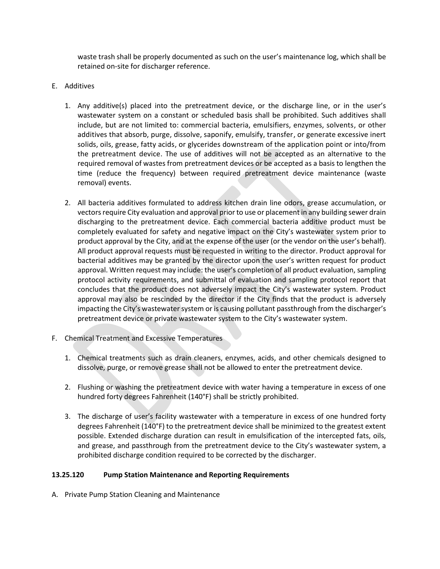waste trash shall be properly documented as such on the user's maintenance log, which shall be retained on-site for discharger reference.

- E. Additives
	- 1. Any additive(s) placed into the pretreatment device, or the discharge line, or in the user's wastewater system on a constant or scheduled basis shall be prohibited. Such additives shall include, but are not limited to: commercial bacteria, emulsifiers, enzymes, solvents, or other additives that absorb, purge, dissolve, saponify, emulsify, transfer, or generate excessive inert solids, oils, grease, fatty acids, or glycerides downstream of the application point or into/from the pretreatment device. The use of additives will not be accepted as an alternative to the required removal of wastes from pretreatment devices or be accepted as a basis to lengthen the time (reduce the frequency) between required pretreatment device maintenance (waste removal) events.
	- 2. All bacteria additives formulated to address kitchen drain line odors, grease accumulation, or vectors require City evaluation and approval prior to use or placement in any building sewer drain discharging to the pretreatment device. Each commercial bacteria additive product must be completely evaluated for safety and negative impact on the City's wastewater system prior to product approval by the City, and at the expense of the user (or the vendor on the user's behalf). All product approval requests must be requested in writing to the director. Product approval for bacterial additives may be granted by the director upon the user's written request for product approval. Written request may include: the user's completion of all product evaluation, sampling protocol activity requirements, and submittal of evaluation and sampling protocol report that concludes that the product does not adversely impact the City's wastewater system. Product approval may also be rescinded by the director if the City finds that the product is adversely impacting the City's wastewater system or is causing pollutant passthrough from the discharger's pretreatment device or private wastewater system to the City's wastewater system.
- F. Chemical Treatment and Excessive Temperatures
	- 1. Chemical treatments such as drain cleaners, enzymes, acids, and other chemicals designed to dissolve, purge, or remove grease shall not be allowed to enter the pretreatment device.
	- 2. Flushing or washing the pretreatment device with water having a temperature in excess of one hundred forty degrees Fahrenheit (140°F) shall be strictly prohibited.
	- 3. The discharge of user's facility wastewater with a temperature in excess of one hundred forty degrees Fahrenheit (140°F) to the pretreatment device shall be minimized to the greatest extent possible. Extended discharge duration can result in emulsification of the intercepted fats, oils, and grease, and passthrough from the pretreatment device to the City's wastewater system, a prohibited discharge condition required to be corrected by the discharger.

# **13.25.120 Pump Station Maintenance and Reporting Requirements**

A. Private Pump Station Cleaning and Maintenance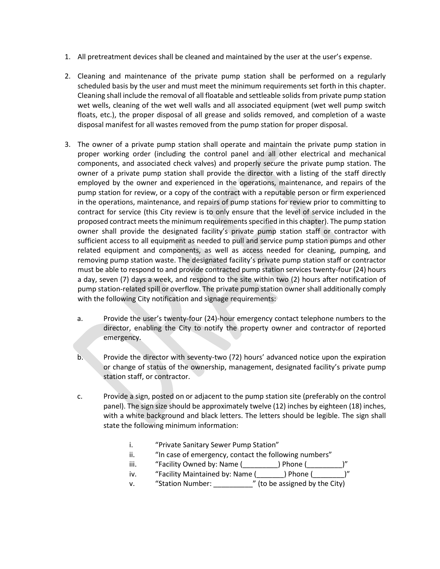- 1. All pretreatment devices shall be cleaned and maintained by the user at the user's expense.
- 2. Cleaning and maintenance of the private pump station shall be performed on a regularly scheduled basis by the user and must meet the minimum requirements set forth in this chapter. Cleaning shall include the removal of all floatable and settleable solids from private pump station wet wells, cleaning of the wet well walls and all associated equipment (wet well pump switch floats, etc.), the proper disposal of all grease and solids removed, and completion of a waste disposal manifest for all wastes removed from the pump station for proper disposal.
- 3. The owner of a private pump station shall operate and maintain the private pump station in proper working order (including the control panel and all other electrical and mechanical components, and associated check valves) and properly secure the private pump station. The owner of a private pump station shall provide the director with a listing of the staff directly employed by the owner and experienced in the operations, maintenance, and repairs of the pump station for review, or a copy of the contract with a reputable person or firm experienced in the operations, maintenance, and repairs of pump stations for review prior to committing to contract for service (this City review is to only ensure that the level of service included in the proposed contract meets the minimum requirements specified in this chapter). The pump station owner shall provide the designated facility's private pump station staff or contractor with sufficient access to all equipment as needed to pull and service pump station pumps and other related equipment and components, as well as access needed for cleaning, pumping, and removing pump station waste. The designated facility's private pump station staff or contractor must be able to respond to and provide contracted pump station services twenty-four (24) hours a day, seven (7) days a week, and respond to the site within two (2) hours after notification of pump station-related spill or overflow. The private pump station owner shall additionally comply with the following City notification and signage requirements:
	- a. Provide the user's twenty-four (24)-hour emergency contact telephone numbers to the director, enabling the City to notify the property owner and contractor of reported emergency.
	- b. Provide the director with seventy-two (72) hours' advanced notice upon the expiration or change of status of the ownership, management, designated facility's private pump station staff, or contractor.
	- c. Provide a sign, posted on or adjacent to the pump station site (preferably on the control panel). The sign size should be approximately twelve (12) inches by eighteen (18) inches, with a white background and black letters. The letters should be legible. The sign shall state the following minimum information:
		- i. "Private Sanitary Sewer Pump Station"
		- ii. "In case of emergency, contact the following numbers"
		- iii. "Facility Owned by: Name (\_\_\_\_\_\_\_\_\_) Phone (\_\_\_\_\_\_\_\_\_)"
		- iv. "Facility Maintained by: Name (\_\_\_\_\_\_\_) Phone (\_\_\_\_\_\_\_\_)"
		- v. "Station Number: \_\_\_\_\_\_\_\_\_\_" (to be assigned by the City)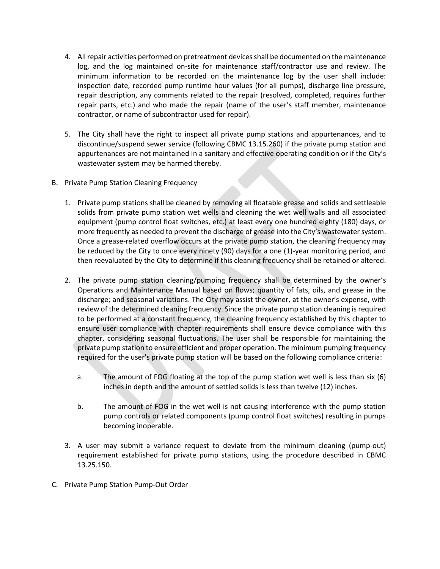- 4. All repair activities performed on pretreatment devices shall be documented on the maintenance log, and the log maintained on-site for maintenance staff/contractor use and review. The minimum information to be recorded on the maintenance log by the user shall include: inspection date, recorded pump runtime hour values (for all pumps), discharge line pressure, repair description, any comments related to the repair (resolved, completed, requires further repair parts, etc.) and who made the repair (name of the user's staff member, maintenance contractor, or name of subcontractor used for repair).
- 5. The City shall have the right to inspect all private pump stations and appurtenances, and to discontinue/suspend sewer service (following CBMC 13.15.260) if the private pump station and appurtenances are not maintained in a sanitary and effective operating condition or if the City's wastewater system may be harmed thereby.
- B. Private Pump Station Cleaning Frequency
	- 1. Private pump stations shall be cleaned by removing all floatable grease and solids and settleable solids from private pump station wet wells and cleaning the wet well walls and all associated equipment (pump control float switches, etc.) at least every one hundred eighty (180) days, or more frequently as needed to prevent the discharge of grease into the City's wastewater system. Once a grease-related overflow occurs at the private pump station, the cleaning frequency may be reduced by the City to once every ninety (90) days for a one (1)-year monitoring period, and then reevaluated by the City to determine if this cleaning frequency shall be retained or altered.
	- 2. The private pump station cleaning/pumping frequency shall be determined by the owner's Operations and Maintenance Manual based on flows; quantity of fats, oils, and grease in the discharge; and seasonal variations. The City may assist the owner, at the owner's expense, with review of the determined cleaning frequency. Since the private pump station cleaning is required to be performed at a constant frequency, the cleaning frequency established by this chapter to ensure user compliance with chapter requirements shall ensure device compliance with this chapter, considering seasonal fluctuations. The user shall be responsible for maintaining the private pump station to ensure efficient and proper operation. The minimum pumping frequency required for the user's private pump station will be based on the following compliance criteria:
		- a. The amount of FOG floating at the top of the pump station wet well is less than six (6) inches in depth and the amount of settled solids is less than twelve (12) inches.
		- b. The amount of FOG in the wet well is not causing interference with the pump station pump controls or related components (pump control float switches) resulting in pumps becoming inoperable.
	- 3. A user may submit a variance request to deviate from the minimum cleaning (pump-out) requirement established for private pump stations, using the procedure described in CBMC 13.25.150.
- C. Private Pump Station Pump-Out Order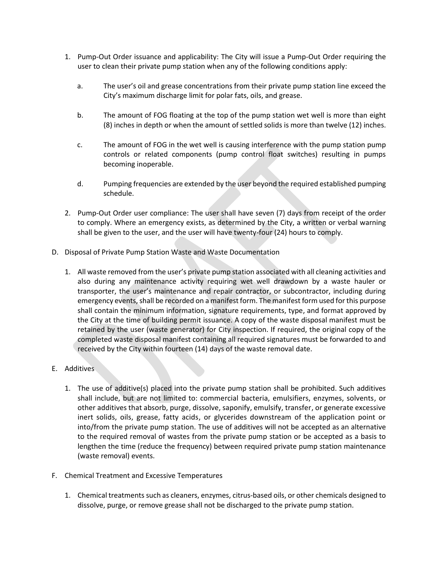- 1. Pump-Out Order issuance and applicability: The City will issue a Pump-Out Order requiring the user to clean their private pump station when any of the following conditions apply:
	- a. The user's oil and grease concentrations from their private pump station line exceed the City's maximum discharge limit for polar fats, oils, and grease.
	- b. The amount of FOG floating at the top of the pump station wet well is more than eight (8) inches in depth or when the amount of settled solids is more than twelve (12) inches.
	- c. The amount of FOG in the wet well is causing interference with the pump station pump controls or related components (pump control float switches) resulting in pumps becoming inoperable.
	- d. Pumping frequencies are extended by the user beyond the required established pumping schedule.
- 2. Pump-Out Order user compliance: The user shall have seven (7) days from receipt of the order to comply. Where an emergency exists, as determined by the City, a written or verbal warning shall be given to the user, and the user will have twenty-four (24) hours to comply.
- D. Disposal of Private Pump Station Waste and Waste Documentation
	- 1. All waste removed from the user's private pump station associated with all cleaning activities and also during any maintenance activity requiring wet well drawdown by a waste hauler or transporter, the user's maintenance and repair contractor, or subcontractor, including during emergency events, shall be recorded on a manifest form. The manifest form used for this purpose shall contain the minimum information, signature requirements, type, and format approved by the City at the time of building permit issuance. A copy of the waste disposal manifest must be retained by the user (waste generator) for City inspection. If required, the original copy of the completed waste disposal manifest containing all required signatures must be forwarded to and received by the City within fourteen (14) days of the waste removal date.
- E. Additives
	- 1. The use of additive(s) placed into the private pump station shall be prohibited. Such additives shall include, but are not limited to: commercial bacteria, emulsifiers, enzymes, solvents, or other additives that absorb, purge, dissolve, saponify, emulsify, transfer, or generate excessive inert solids, oils, grease, fatty acids, or glycerides downstream of the application point or into/from the private pump station. The use of additives will not be accepted as an alternative to the required removal of wastes from the private pump station or be accepted as a basis to lengthen the time (reduce the frequency) between required private pump station maintenance (waste removal) events.
- F. Chemical Treatment and Excessive Temperatures
	- 1. Chemical treatments such as cleaners, enzymes, citrus-based oils, or other chemicals designed to dissolve, purge, or remove grease shall not be discharged to the private pump station.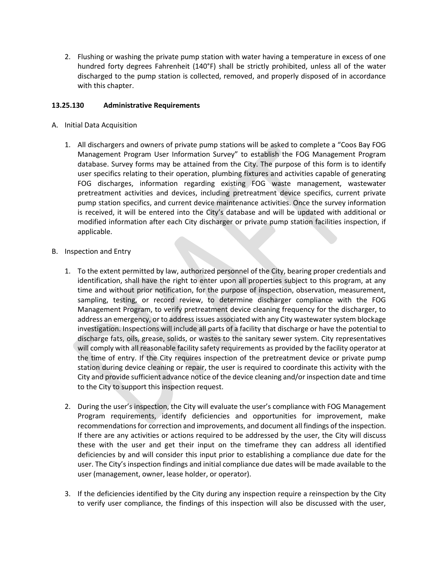2. Flushing or washing the private pump station with water having a temperature in excess of one hundred forty degrees Fahrenheit (140°F) shall be strictly prohibited, unless all of the water discharged to the pump station is collected, removed, and properly disposed of in accordance with this chapter.

# **13.25.130 Administrative Requirements**

- A. Initial Data Acquisition
	- 1. All dischargers and owners of private pump stations will be asked to complete a "Coos Bay FOG Management Program User Information Survey" to establish the FOG Management Program database. Survey forms may be attained from the City. The purpose of this form is to identify user specifics relating to their operation, plumbing fixtures and activities capable of generating FOG discharges, information regarding existing FOG waste management, wastewater pretreatment activities and devices, including pretreatment device specifics, current private pump station specifics, and current device maintenance activities. Once the survey information is received, it will be entered into the City's database and will be updated with additional or modified information after each City discharger or private pump station facilities inspection, if applicable.
- B. Inspection and Entry
	- 1. To the extent permitted by law, authorized personnel of the City, bearing proper credentials and identification, shall have the right to enter upon all properties subject to this program, at any time and without prior notification, for the purpose of inspection, observation, measurement, sampling, testing, or record review, to determine discharger compliance with the FOG Management Program, to verify pretreatment device cleaning frequency for the discharger, to address an emergency, or to address issues associated with any City wastewater system blockage investigation. Inspections will include all parts of a facility that discharge or have the potential to discharge fats, oils, grease, solids, or wastes to the sanitary sewer system. City representatives will comply with all reasonable facility safety requirements as provided by the facility operator at the time of entry. If the City requires inspection of the pretreatment device or private pump station during device cleaning or repair, the user is required to coordinate this activity with the City and provide sufficient advance notice of the device cleaning and/or inspection date and time to the City to support this inspection request.
	- 2. During the user's inspection, the City will evaluate the user's compliance with FOG Management Program requirements, identify deficiencies and opportunities for improvement, make recommendations for correction and improvements, and document all findings of the inspection. If there are any activities or actions required to be addressed by the user, the City will discuss these with the user and get their input on the timeframe they can address all identified deficiencies by and will consider this input prior to establishing a compliance due date for the user. The City's inspection findings and initial compliance due dates will be made available to the user (management, owner, lease holder, or operator).
	- 3. If the deficiencies identified by the City during any inspection require a reinspection by the City to verify user compliance, the findings of this inspection will also be discussed with the user,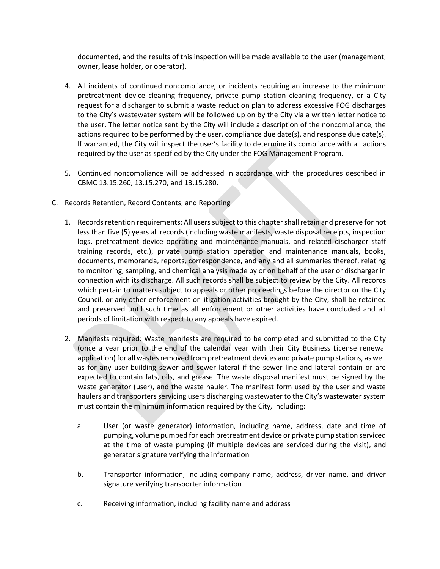documented, and the results of this inspection will be made available to the user (management, owner, lease holder, or operator).

- 4. All incidents of continued noncompliance, or incidents requiring an increase to the minimum pretreatment device cleaning frequency, private pump station cleaning frequency, or a City request for a discharger to submit a waste reduction plan to address excessive FOG discharges to the City's wastewater system will be followed up on by the City via a written letter notice to the user. The letter notice sent by the City will include a description of the noncompliance, the actions required to be performed by the user, compliance due date(s), and response due date(s). If warranted, the City will inspect the user's facility to determine its compliance with all actions required by the user as specified by the City under the FOG Management Program.
- 5. Continued noncompliance will be addressed in accordance with the procedures described in CBMC 13.15.260, 13.15.270, and 13.15.280.
- C. Records Retention, Record Contents, and Reporting
	- 1. Records retention requirements: All users subject to this chaptershall retain and preserve for not less than five (5) years all records (including waste manifests, waste disposal receipts, inspection logs, pretreatment device operating and maintenance manuals, and related discharger staff training records, etc.), private pump station operation and maintenance manuals, books, documents, memoranda, reports, correspondence, and any and all summaries thereof, relating to monitoring, sampling, and chemical analysis made by or on behalf of the user or discharger in connection with its discharge. All such records shall be subject to review by the City. All records which pertain to matters subject to appeals or other proceedings before the director or the City Council, or any other enforcement or litigation activities brought by the City, shall be retained and preserved until such time as all enforcement or other activities have concluded and all periods of limitation with respect to any appeals have expired.
	- 2. Manifests required: Waste manifests are required to be completed and submitted to the City (once a year prior to the end of the calendar year with their City Business License renewal application) for all wastes removed from pretreatment devices and private pump stations, as well as for any user-building sewer and sewer lateral if the sewer line and lateral contain or are expected to contain fats, oils, and grease. The waste disposal manifest must be signed by the waste generator (user), and the waste hauler. The manifest form used by the user and waste haulers and transporters servicing users discharging wastewater to the City's wastewater system must contain the minimum information required by the City, including:
		- a. User (or waste generator) information, including name, address, date and time of pumping, volume pumped for each pretreatment device or private pump station serviced at the time of waste pumping (if multiple devices are serviced during the visit), and generator signature verifying the information
		- b. Transporter information, including company name, address, driver name, and driver signature verifying transporter information
		- c. Receiving information, including facility name and address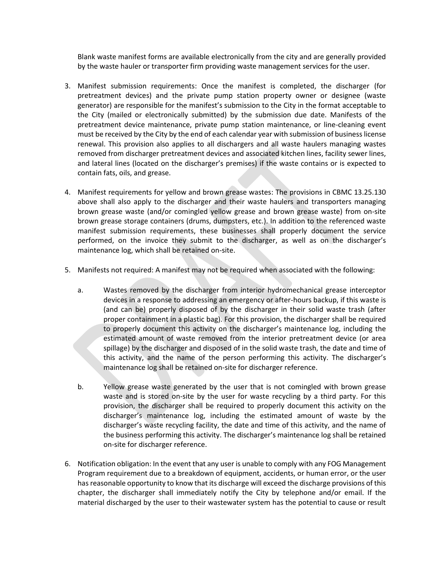Blank waste manifest forms are available electronically from the city and are generally provided by the waste hauler or transporter firm providing waste management services for the user.

- 3. Manifest submission requirements: Once the manifest is completed, the discharger (for pretreatment devices) and the private pump station property owner or designee (waste generator) are responsible for the manifest's submission to the City in the format acceptable to the City (mailed or electronically submitted) by the submission due date. Manifests of the pretreatment device maintenance, private pump station maintenance, or line-cleaning event must be received by the City by the end of each calendar year with submission of business license renewal. This provision also applies to all dischargers and all waste haulers managing wastes removed from discharger pretreatment devices and associated kitchen lines, facility sewer lines, and lateral lines (located on the discharger's premises) if the waste contains or is expected to contain fats, oils, and grease.
- 4. Manifest requirements for yellow and brown grease wastes: The provisions in CBMC 13.25.130 above shall also apply to the discharger and their waste haulers and transporters managing brown grease waste (and/or comingled yellow grease and brown grease waste) from on-site brown grease storage containers (drums, dumpsters, etc.). In addition to the referenced waste manifest submission requirements, these businesses shall properly document the service performed, on the invoice they submit to the discharger, as well as on the discharger's maintenance log, which shall be retained on-site.
- 5. Manifests not required: A manifest may not be required when associated with the following:
	- a. Wastes removed by the discharger from interior hydromechanical grease interceptor devices in a response to addressing an emergency or after-hours backup, if this waste is (and can be) properly disposed of by the discharger in their solid waste trash (after proper containment in a plastic bag). For this provision, the discharger shall be required to properly document this activity on the discharger's maintenance log, including the estimated amount of waste removed from the interior pretreatment device (or area spillage) by the discharger and disposed of in the solid waste trash, the date and time of this activity, and the name of the person performing this activity. The discharger's maintenance log shall be retained on-site for discharger reference.
	- b. Yellow grease waste generated by the user that is not comingled with brown grease waste and is stored on-site by the user for waste recycling by a third party. For this provision, the discharger shall be required to properly document this activity on the discharger's maintenance log, including the estimated amount of waste by the discharger's waste recycling facility, the date and time of this activity, and the name of the business performing this activity. The discharger's maintenance log shall be retained on-site for discharger reference.
- 6. Notification obligation: In the event that any user is unable to comply with any FOG Management Program requirement due to a breakdown of equipment, accidents, or human error, or the user has reasonable opportunity to know that its discharge will exceed the discharge provisions of this chapter, the discharger shall immediately notify the City by telephone and/or email. If the material discharged by the user to their wastewater system has the potential to cause or result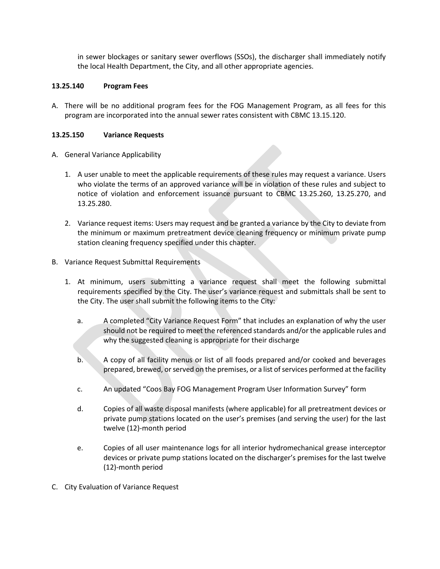in sewer blockages or sanitary sewer overflows (SSOs), the discharger shall immediately notify the local Health Department, the City, and all other appropriate agencies.

#### **13.25.140 Program Fees**

A. There will be no additional program fees for the FOG Management Program, as all fees for this program are incorporated into the annual sewer rates consistent with CBMC 13.15.120.

#### **13.25.150 Variance Requests**

- A. General Variance Applicability
	- 1. A user unable to meet the applicable requirements of these rules may request a variance. Users who violate the terms of an approved variance will be in violation of these rules and subject to notice of violation and enforcement issuance pursuant to CBMC 13.25.260, 13.25.270, and 13.25.280.
	- 2. Variance request items: Users may request and be granted a variance by the City to deviate from the minimum or maximum pretreatment device cleaning frequency or minimum private pump station cleaning frequency specified under this chapter.
- B. Variance Request Submittal Requirements
	- 1. At minimum, users submitting a variance request shall meet the following submittal requirements specified by the City. The user's variance request and submittals shall be sent to the City. The user shall submit the following items to the City:
		- a. A completed "City Variance Request Form" that includes an explanation of why the user should not be required to meet the referenced standards and/or the applicable rules and why the suggested cleaning is appropriate for their discharge
		- b. A copy of all facility menus or list of all foods prepared and/or cooked and beverages prepared, brewed, or served on the premises, or a list of services performed at the facility
		- c. An updated "Coos Bay FOG Management Program User Information Survey" form
		- d. Copies of all waste disposal manifests (where applicable) for all pretreatment devices or private pump stations located on the user's premises (and serving the user) for the last twelve (12)-month period
		- e. Copies of all user maintenance logs for all interior hydromechanical grease interceptor devices or private pump stations located on the discharger's premises for the last twelve (12)-month period
- C. City Evaluation of Variance Request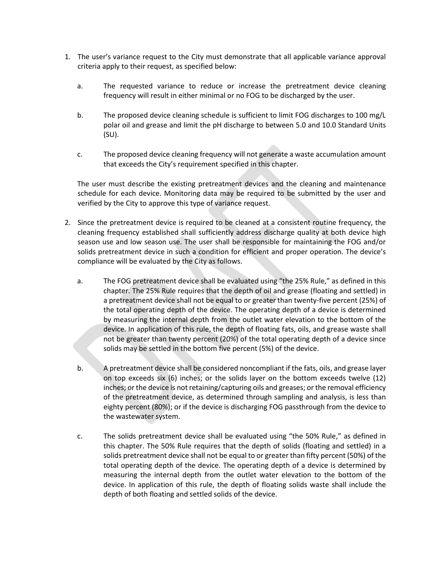- 1. The user's variance request to the City must demonstrate that all applicable variance approval criteria apply to their request, as specified below:
	- a. The requested variance to reduce or increase the pretreatment device cleaning frequency will result in either minimal or no FOG to be discharged by the user.
	- b. The proposed device cleaning schedule is sufficient to limit FOG discharges to 100 mg/L polar oil and grease and limit the pH discharge to between 5.0 and 10.0 Standard Units (SU).
	- c. The proposed device cleaning frequency will not generate a waste accumulation amount that exceeds the City's requirement specified in this chapter.

 The user must describe the existing pretreatment devices and the cleaning and maintenance schedule for each device. Monitoring data may be required to be submitted by the user and verified by the City to approve this type of variance request.

- 2. Since the pretreatment device is required to be cleaned at a consistent routine frequency, the cleaning frequency established shall sufficiently address discharge quality at both device high season use and low season use. The user shall be responsible for maintaining the FOG and/or solids pretreatment device in such a condition for efficient and proper operation. The device's compliance will be evaluated by the City as follows.
	- a. The FOG pretreatment device shall be evaluated using "the 25% Rule," as defined in this chapter. The 25% Rule requires that the depth of oil and grease (floating and settled) in a pretreatment device shall not be equal to or greater than twenty-five percent (25%) of the total operating depth of the device. The operating depth of a device is determined by measuring the internal depth from the outlet water elevation to the bottom of the device. In application of this rule, the depth of floating fats, oils, and grease waste shall not be greater than twenty percent (20%) of the total operating depth of a device since solids may be settled in the bottom five percent (5%) of the device.
	- b. A pretreatment device shall be considered noncompliant if the fats, oils, and grease layer on top exceeds six (6) inches; or the solids layer on the bottom exceeds twelve (12) inches; or the device is not retaining/capturing oils and greases; or the removal efficiency of the pretreatment device, as determined through sampling and analysis, is less than eighty percent (80%); or if the device is discharging FOG passthrough from the device to the wastewater system.
	- c. The solids pretreatment device shall be evaluated using "the 50% Rule," as defined in this chapter. The 50% Rule requires that the depth of solids (floating and settled) in a solids pretreatment device shall not be equal to or greater than fifty percent (50%) of the total operating depth of the device. The operating depth of a device is determined by measuring the internal depth from the outlet water elevation to the bottom of the device. In application of this rule, the depth of floating solids waste shall include the depth of both floating and settled solids of the device.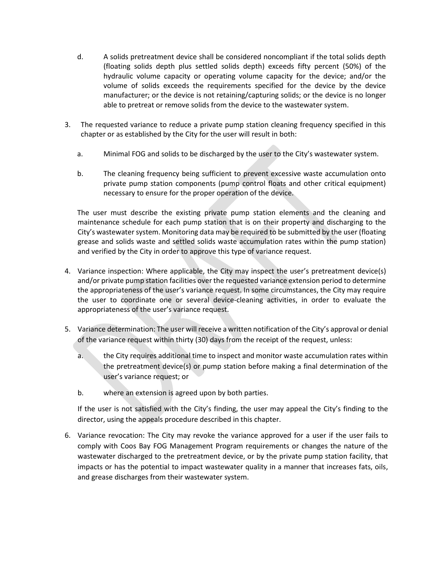- d. A solids pretreatment device shall be considered noncompliant if the total solids depth (floating solids depth plus settled solids depth) exceeds fifty percent (50%) of the hydraulic volume capacity or operating volume capacity for the device; and/or the volume of solids exceeds the requirements specified for the device by the device manufacturer; or the device is not retaining/capturing solids; or the device is no longer able to pretreat or remove solids from the device to the wastewater system.
- 3. The requested variance to reduce a private pump station cleaning frequency specified in this chapter or as established by the City for the user will result in both:
	- a. Minimal FOG and solids to be discharged by the user to the City's wastewater system.
	- b. The cleaning frequency being sufficient to prevent excessive waste accumulation onto private pump station components (pump control floats and other critical equipment) necessary to ensure for the proper operation of the device.

 The user must describe the existing private pump station elements and the cleaning and maintenance schedule for each pump station that is on their property and discharging to the City's wastewater system. Monitoring data may be required to be submitted by the user (floating grease and solids waste and settled solids waste accumulation rates within the pump station) and verified by the City in order to approve this type of variance request.

- 4. Variance inspection: Where applicable, the City may inspect the user's pretreatment device(s) and/or private pump station facilities over the requested variance extension period to determine the appropriateness of the user's variance request. In some circumstances, the City may require the user to coordinate one or several device-cleaning activities, in order to evaluate the appropriateness of the user's variance request.
- 5. Variance determination: The user will receive a written notification of the City's approval or denial of the variance request within thirty (30) days from the receipt of the request, unless:
	- a. the City requires additional time to inspect and monitor waste accumulation rates within the pretreatment device(s) or pump station before making a final determination of the user's variance request; or
	- b. where an extension is agreed upon by both parties.

If the user is not satisfied with the City's finding, the user may appeal the City's finding to the director, using the appeals procedure described in this chapter.

6. Variance revocation: The City may revoke the variance approved for a user if the user fails to comply with Coos Bay FOG Management Program requirements or changes the nature of the wastewater discharged to the pretreatment device, or by the private pump station facility, that impacts or has the potential to impact wastewater quality in a manner that increases fats, oils, and grease discharges from their wastewater system.